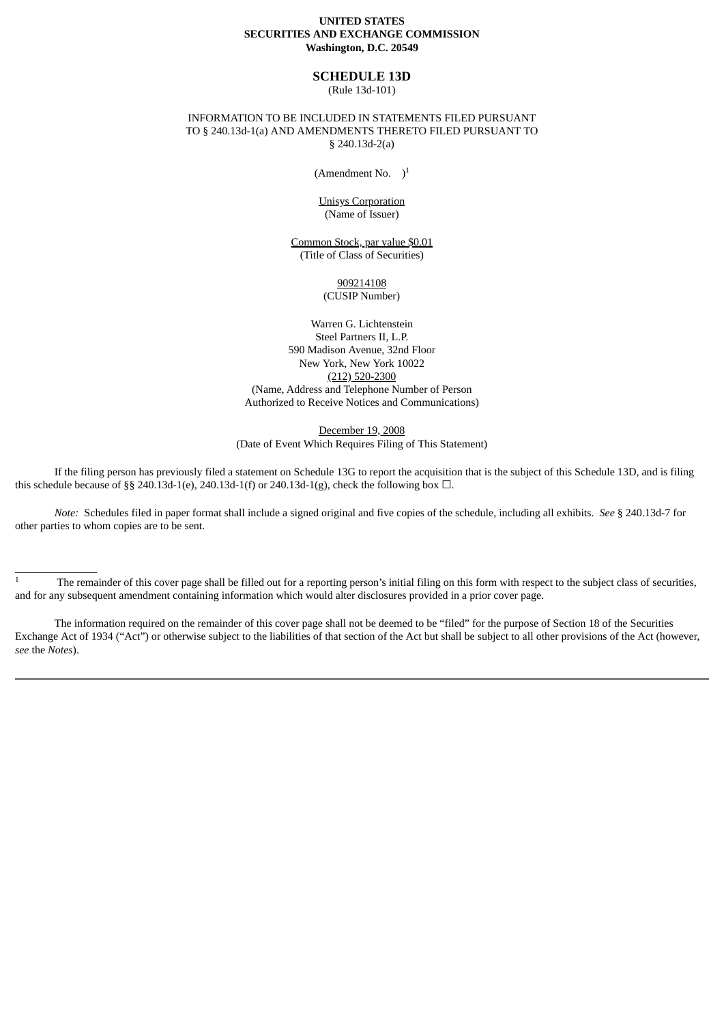#### **UNITED STATES SECURITIES AND EXCHANGE COMMISSION Washington, D.C. 20549**

#### **SCHEDULE 13D**

(Rule 13d-101)

## INFORMATION TO BE INCLUDED IN STATEMENTS FILED PURSUANT TO § 240.13d-1(a) AND AMENDMENTS THERETO FILED PURSUANT TO § 240.13d-2(a)

(Amendment No.  $)$ <sup>1</sup>

Unisys Corporation (Name of Issuer)

Common Stock, par value \$0.01 (Title of Class of Securities)

> 909214108 (CUSIP Number)

Warren G. Lichtenstein Steel Partners II, L.P. 590 Madison Avenue, 32nd Floor New York, New York 10022 (212) 520-2300 (Name, Address and Telephone Number of Person Authorized to Receive Notices and Communications)

December 19, 2008 (Date of Event Which Requires Filing of This Statement)

If the filing person has previously filed a statement on Schedule 13G to report the acquisition that is the subject of this Schedule 13D, and is filing this schedule because of §§ 240.13d-1(e), 240.13d-1(f) or 240.13d-1(g), check the following box  $\Box$ .

*Note:* Schedules filed in paper format shall include a signed original and five copies of the schedule, including all exhibits. *See* § 240.13d-7 for other parties to whom copies are to be sent.

 $\frac{1}{1}$  The remainder of this cover page shall be filled out for a reporting person's initial filing on this form with respect to the subject class of securities, and for any subsequent amendment containing information which would alter disclosures provided in a prior cover page.

\_\_\_\_\_\_\_\_\_\_\_\_\_\_\_

The information required on the remainder of this cover page shall not be deemed to be "filed" for the purpose of Section 18 of the Securities Exchange Act of 1934 ("Act") or otherwise subject to the liabilities of that section of the Act but shall be subject to all other provisions of the Act (however, *see* the *Notes*).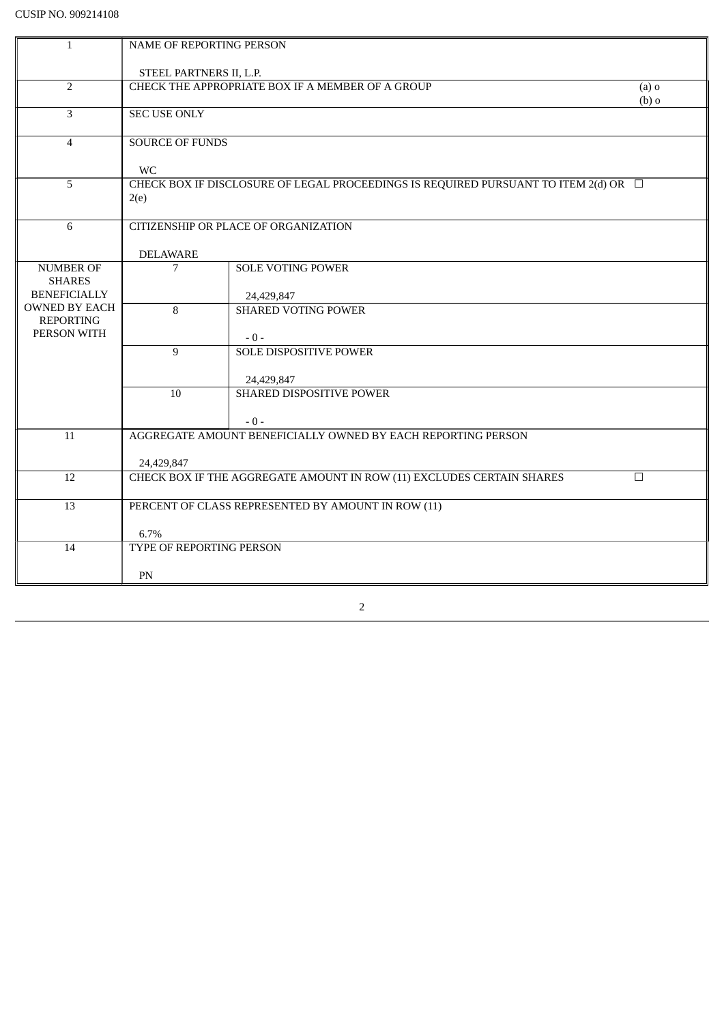| $\mathbf{1}$                                            | NAME OF REPORTING PERSON                                                                         |                                 |  |  |
|---------------------------------------------------------|--------------------------------------------------------------------------------------------------|---------------------------------|--|--|
|                                                         | STEEL PARTNERS II, L.P.                                                                          |                                 |  |  |
| $\overline{2}$                                          | CHECK THE APPROPRIATE BOX IF A MEMBER OF A GROUP<br>$(a)$ o<br>$(b)$ o                           |                                 |  |  |
| 3                                                       | <b>SEC USE ONLY</b>                                                                              |                                 |  |  |
| $\overline{4}$                                          | <b>SOURCE OF FUNDS</b>                                                                           |                                 |  |  |
|                                                         | <b>WC</b>                                                                                        |                                 |  |  |
| 5                                                       | CHECK BOX IF DISCLOSURE OF LEGAL PROCEEDINGS IS REQUIRED PURSUANT TO ITEM 2(d) OR $\Box$<br>2(e) |                                 |  |  |
| 6                                                       | CITIZENSHIP OR PLACE OF ORGANIZATION<br><b>DELAWARE</b>                                          |                                 |  |  |
| <b>NUMBER OF</b>                                        | 7                                                                                                | <b>SOLE VOTING POWER</b>        |  |  |
| <b>SHARES</b><br><b>BENEFICIALLY</b>                    | 24,429,847                                                                                       |                                 |  |  |
| <b>OWNED BY EACH</b><br><b>REPORTING</b><br>PERSON WITH | 8                                                                                                | <b>SHARED VOTING POWER</b>      |  |  |
|                                                         | 9                                                                                                | $-0-$<br>SOLE DISPOSITIVE POWER |  |  |
|                                                         |                                                                                                  | 24,429,847                      |  |  |
|                                                         | 10                                                                                               | SHARED DISPOSITIVE POWER        |  |  |
|                                                         |                                                                                                  | $-0-$                           |  |  |
| 11                                                      | AGGREGATE AMOUNT BENEFICIALLY OWNED BY EACH REPORTING PERSON                                     |                                 |  |  |
|                                                         | 24,429,847                                                                                       |                                 |  |  |
| 12                                                      | CHECK BOX IF THE AGGREGATE AMOUNT IN ROW (11) EXCLUDES CERTAIN SHARES<br>$\Box$                  |                                 |  |  |
| $\overline{13}$                                         | PERCENT OF CLASS REPRESENTED BY AMOUNT IN ROW (11)                                               |                                 |  |  |
|                                                         | 6.7%                                                                                             |                                 |  |  |
| 14                                                      | TYPE OF REPORTING PERSON                                                                         |                                 |  |  |
|                                                         | PN                                                                                               |                                 |  |  |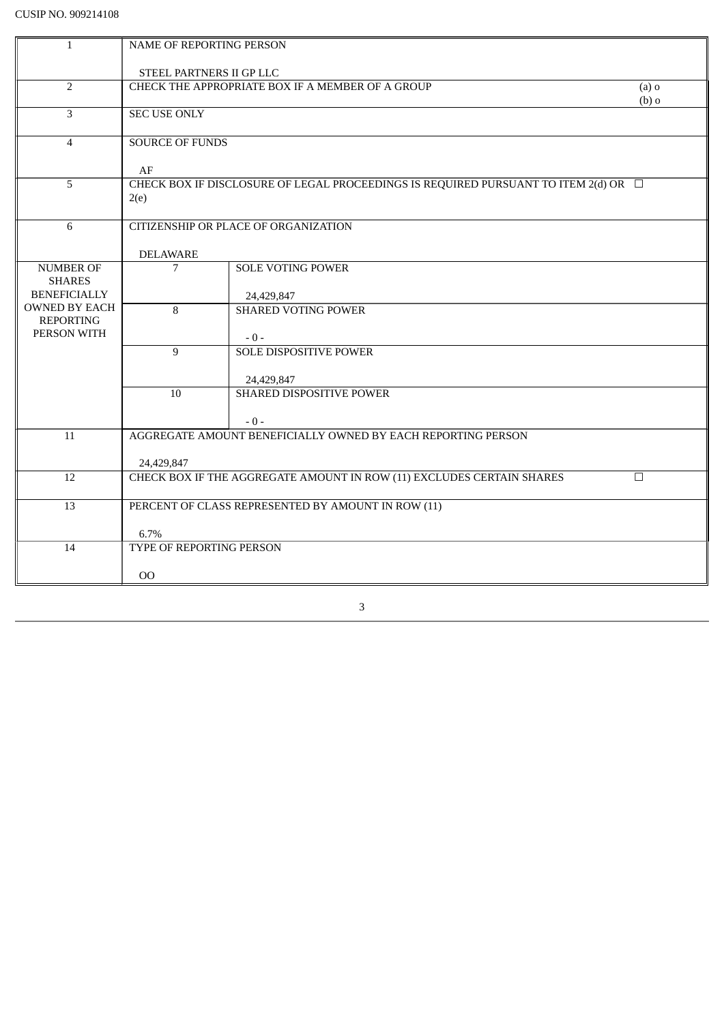| $\mathbf{1}$                         | NAME OF REPORTING PERSON                                                        |                                                                                          |  |  |  |
|--------------------------------------|---------------------------------------------------------------------------------|------------------------------------------------------------------------------------------|--|--|--|
|                                      | STEEL PARTNERS II GP LLC                                                        |                                                                                          |  |  |  |
| $\overline{2}$                       | CHECK THE APPROPRIATE BOX IF A MEMBER OF A GROUP<br>$(a)$ o                     |                                                                                          |  |  |  |
|                                      | $(b)$ o                                                                         |                                                                                          |  |  |  |
| $\overline{3}$                       | <b>SEC USE ONLY</b>                                                             |                                                                                          |  |  |  |
| $\overline{4}$                       | <b>SOURCE OF FUNDS</b>                                                          |                                                                                          |  |  |  |
|                                      |                                                                                 |                                                                                          |  |  |  |
| 5                                    | AF                                                                              | CHECK BOX IF DISCLOSURE OF LEGAL PROCEEDINGS IS REQUIRED PURSUANT TO ITEM 2(d) OR $\Box$ |  |  |  |
|                                      | 2(e)                                                                            |                                                                                          |  |  |  |
|                                      |                                                                                 |                                                                                          |  |  |  |
| 6                                    | CITIZENSHIP OR PLACE OF ORGANIZATION                                            |                                                                                          |  |  |  |
|                                      | <b>DELAWARE</b>                                                                 |                                                                                          |  |  |  |
| <b>NUMBER OF</b>                     | 7                                                                               | <b>SOLE VOTING POWER</b>                                                                 |  |  |  |
| <b>SHARES</b><br><b>BENEFICIALLY</b> |                                                                                 |                                                                                          |  |  |  |
| <b>OWNED BY EACH</b>                 | 8                                                                               | 24,429,847<br><b>SHARED VOTING POWER</b>                                                 |  |  |  |
| <b>REPORTING</b>                     |                                                                                 |                                                                                          |  |  |  |
| PERSON WITH                          |                                                                                 | $-0-$                                                                                    |  |  |  |
|                                      | 9                                                                               | <b>SOLE DISPOSITIVE POWER</b>                                                            |  |  |  |
|                                      |                                                                                 | 24,429,847                                                                               |  |  |  |
|                                      | 10                                                                              | SHARED DISPOSITIVE POWER                                                                 |  |  |  |
|                                      |                                                                                 |                                                                                          |  |  |  |
|                                      |                                                                                 | $-0-$                                                                                    |  |  |  |
| 11                                   | AGGREGATE AMOUNT BENEFICIALLY OWNED BY EACH REPORTING PERSON                    |                                                                                          |  |  |  |
|                                      | 24,429,847                                                                      |                                                                                          |  |  |  |
| 12                                   | CHECK BOX IF THE AGGREGATE AMOUNT IN ROW (11) EXCLUDES CERTAIN SHARES<br>$\Box$ |                                                                                          |  |  |  |
| $\overline{13}$                      |                                                                                 |                                                                                          |  |  |  |
|                                      | PERCENT OF CLASS REPRESENTED BY AMOUNT IN ROW (11)                              |                                                                                          |  |  |  |
|                                      | 6.7%                                                                            |                                                                                          |  |  |  |
| 14                                   | TYPE OF REPORTING PERSON                                                        |                                                                                          |  |  |  |
|                                      | <sub>OO</sub>                                                                   |                                                                                          |  |  |  |
|                                      |                                                                                 |                                                                                          |  |  |  |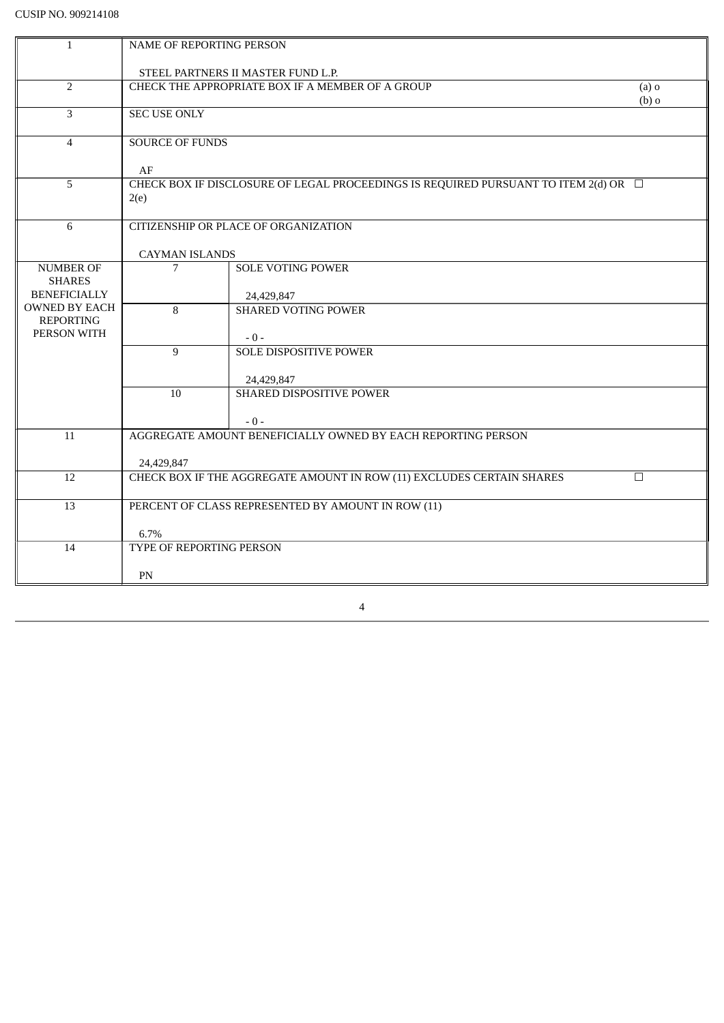| $\mathbf{1}$                                | NAME OF REPORTING PERSON                                                                         |                                          |  |  |
|---------------------------------------------|--------------------------------------------------------------------------------------------------|------------------------------------------|--|--|
|                                             |                                                                                                  |                                          |  |  |
|                                             | STEEL PARTNERS II MASTER FUND L.P.                                                               |                                          |  |  |
| $\overline{2}$                              | CHECK THE APPROPRIATE BOX IF A MEMBER OF A GROUP<br>$(a)$ o<br>$(b)$ o                           |                                          |  |  |
| $\overline{3}$                              | <b>SEC USE ONLY</b>                                                                              |                                          |  |  |
| $\overline{4}$                              | <b>SOURCE OF FUNDS</b>                                                                           |                                          |  |  |
|                                             | AF                                                                                               |                                          |  |  |
| 5                                           | CHECK BOX IF DISCLOSURE OF LEGAL PROCEEDINGS IS REQUIRED PURSUANT TO ITEM 2(d) OR $\Box$<br>2(e) |                                          |  |  |
| 6                                           | CITIZENSHIP OR PLACE OF ORGANIZATION                                                             |                                          |  |  |
|                                             | <b>CAYMAN ISLANDS</b>                                                                            |                                          |  |  |
| <b>NUMBER OF</b>                            | 7                                                                                                | <b>SOLE VOTING POWER</b>                 |  |  |
| <b>SHARES</b>                               |                                                                                                  |                                          |  |  |
| <b>BENEFICIALLY</b><br><b>OWNED BY EACH</b> | 8                                                                                                | 24,429,847<br><b>SHARED VOTING POWER</b> |  |  |
| <b>REPORTING</b>                            |                                                                                                  |                                          |  |  |
| PERSON WITH                                 |                                                                                                  | $-0-$                                    |  |  |
|                                             | 9                                                                                                | <b>SOLE DISPOSITIVE POWER</b>            |  |  |
|                                             |                                                                                                  |                                          |  |  |
|                                             | 10                                                                                               | 24,429,847<br>SHARED DISPOSITIVE POWER   |  |  |
|                                             |                                                                                                  |                                          |  |  |
|                                             |                                                                                                  | $-0-$                                    |  |  |
| 11                                          | AGGREGATE AMOUNT BENEFICIALLY OWNED BY EACH REPORTING PERSON                                     |                                          |  |  |
|                                             | 24,429,847                                                                                       |                                          |  |  |
| 12                                          | CHECK BOX IF THE AGGREGATE AMOUNT IN ROW (11) EXCLUDES CERTAIN SHARES<br>$\Box$                  |                                          |  |  |
|                                             |                                                                                                  |                                          |  |  |
| $\overline{13}$                             | PERCENT OF CLASS REPRESENTED BY AMOUNT IN ROW (11)                                               |                                          |  |  |
|                                             | 6.7%                                                                                             |                                          |  |  |
| 14                                          | TYPE OF REPORTING PERSON                                                                         |                                          |  |  |
|                                             | PN                                                                                               |                                          |  |  |
|                                             |                                                                                                  |                                          |  |  |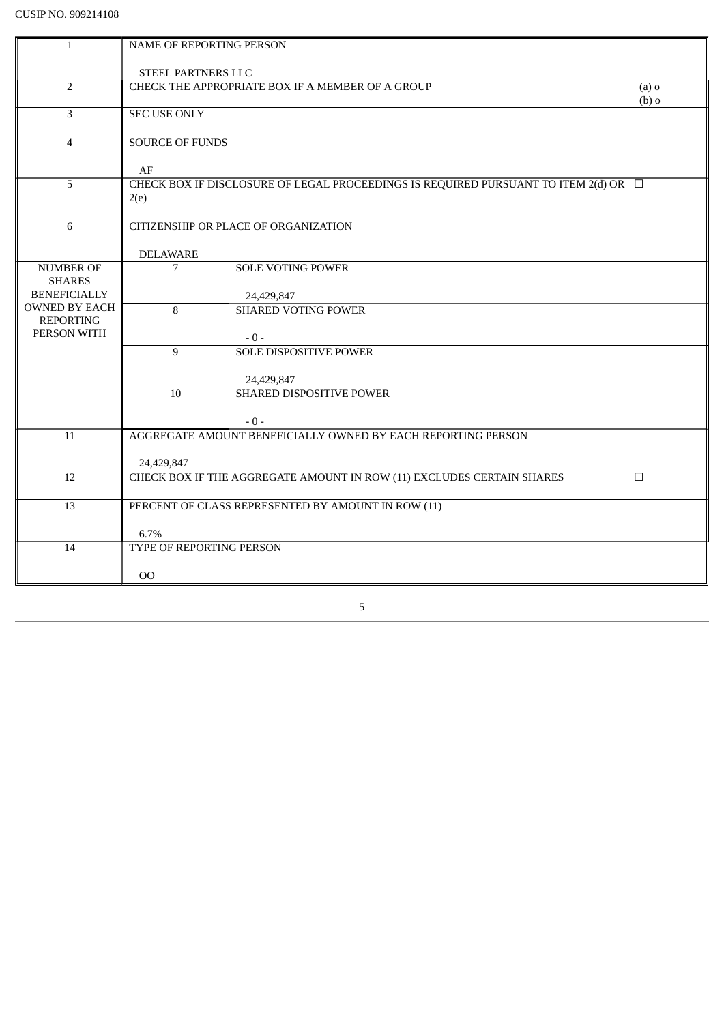| $\mathbf{1}$                             | <b>NAME OF REPORTING PERSON</b>                                                                  |                            |  |  |
|------------------------------------------|--------------------------------------------------------------------------------------------------|----------------------------|--|--|
|                                          | <b>STEEL PARTNERS LLC</b>                                                                        |                            |  |  |
| $\overline{2}$                           | CHECK THE APPROPRIATE BOX IF A MEMBER OF A GROUP<br>$(a)$ o                                      |                            |  |  |
| 3                                        | $(b)$ o<br><b>SEC USE ONLY</b>                                                                   |                            |  |  |
| $\overline{4}$                           | <b>SOURCE OF FUNDS</b>                                                                           |                            |  |  |
|                                          | AF                                                                                               |                            |  |  |
| 5                                        | CHECK BOX IF DISCLOSURE OF LEGAL PROCEEDINGS IS REQUIRED PURSUANT TO ITEM 2(d) OR $\Box$<br>2(e) |                            |  |  |
| $6\,$                                    | CITIZENSHIP OR PLACE OF ORGANIZATION                                                             |                            |  |  |
|                                          | <b>DELAWARE</b>                                                                                  |                            |  |  |
| <b>NUMBER OF</b>                         | 7                                                                                                | <b>SOLE VOTING POWER</b>   |  |  |
| <b>SHARES</b><br><b>BENEFICIALLY</b>     | 24,429,847                                                                                       |                            |  |  |
| <b>OWNED BY EACH</b><br><b>REPORTING</b> | 8                                                                                                | <b>SHARED VOTING POWER</b> |  |  |
| PERSON WITH                              |                                                                                                  | $-0-$                      |  |  |
|                                          | 9                                                                                                | SOLE DISPOSITIVE POWER     |  |  |
|                                          |                                                                                                  | 24,429,847                 |  |  |
|                                          | 10                                                                                               | SHARED DISPOSITIVE POWER   |  |  |
|                                          |                                                                                                  | $-0-$                      |  |  |
| 11                                       | AGGREGATE AMOUNT BENEFICIALLY OWNED BY EACH REPORTING PERSON                                     |                            |  |  |
|                                          | 24,429,847                                                                                       |                            |  |  |
| 12                                       | CHECK BOX IF THE AGGREGATE AMOUNT IN ROW (11) EXCLUDES CERTAIN SHARES<br>$\Box$                  |                            |  |  |
| $\overline{13}$                          | PERCENT OF CLASS REPRESENTED BY AMOUNT IN ROW (11)                                               |                            |  |  |
|                                          | 6.7%                                                                                             |                            |  |  |
| 14                                       | TYPE OF REPORTING PERSON                                                                         |                            |  |  |
|                                          | <sub>OO</sub>                                                                                    |                            |  |  |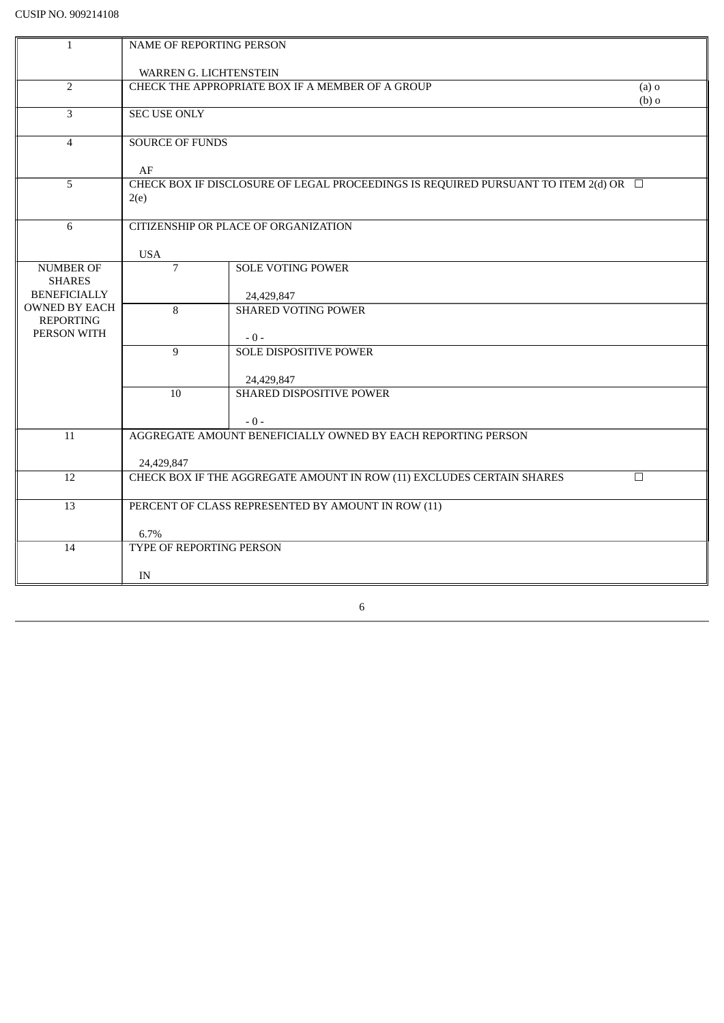| $\mathbf{1}$                      | NAME OF REPORTING PERSON                                                                 |                                            |  |  |  |
|-----------------------------------|------------------------------------------------------------------------------------------|--------------------------------------------|--|--|--|
|                                   |                                                                                          |                                            |  |  |  |
| $\overline{2}$                    | WARREN G. LICHTENSTEIN<br>CHECK THE APPROPRIATE BOX IF A MEMBER OF A GROUP<br>$(a)$ o    |                                            |  |  |  |
|                                   | $(b)$ o                                                                                  |                                            |  |  |  |
| 3                                 | <b>SEC USE ONLY</b>                                                                      |                                            |  |  |  |
| $\overline{4}$                    | <b>SOURCE OF FUNDS</b>                                                                   |                                            |  |  |  |
|                                   |                                                                                          |                                            |  |  |  |
|                                   | AF                                                                                       |                                            |  |  |  |
| 5                                 | CHECK BOX IF DISCLOSURE OF LEGAL PROCEEDINGS IS REQUIRED PURSUANT TO ITEM 2(d) OR $\Box$ |                                            |  |  |  |
|                                   | 2(e)                                                                                     |                                            |  |  |  |
| 6                                 | CITIZENSHIP OR PLACE OF ORGANIZATION                                                     |                                            |  |  |  |
|                                   |                                                                                          |                                            |  |  |  |
|                                   | <b>USA</b>                                                                               |                                            |  |  |  |
| <b>NUMBER OF</b><br><b>SHARES</b> |                                                                                          | $\overline{7}$<br><b>SOLE VOTING POWER</b> |  |  |  |
| <b>BENEFICIALLY</b>               |                                                                                          | 24,429,847                                 |  |  |  |
| <b>OWNED BY EACH</b>              | <b>SHARED VOTING POWER</b><br>8                                                          |                                            |  |  |  |
| <b>REPORTING</b><br>PERSON WITH   |                                                                                          |                                            |  |  |  |
|                                   | 9                                                                                        | $-0-$<br><b>SOLE DISPOSITIVE POWER</b>     |  |  |  |
|                                   |                                                                                          |                                            |  |  |  |
|                                   | 24,429,847                                                                               |                                            |  |  |  |
|                                   | 10                                                                                       | SHARED DISPOSITIVE POWER                   |  |  |  |
|                                   |                                                                                          | $-0-$                                      |  |  |  |
| 11                                | AGGREGATE AMOUNT BENEFICIALLY OWNED BY EACH REPORTING PERSON                             |                                            |  |  |  |
|                                   |                                                                                          |                                            |  |  |  |
|                                   | 24,429,847                                                                               |                                            |  |  |  |
| 12                                | CHECK BOX IF THE AGGREGATE AMOUNT IN ROW (11) EXCLUDES CERTAIN SHARES<br>$\Box$          |                                            |  |  |  |
| 13                                | PERCENT OF CLASS REPRESENTED BY AMOUNT IN ROW (11)                                       |                                            |  |  |  |
|                                   |                                                                                          |                                            |  |  |  |
|                                   | 6.7%                                                                                     |                                            |  |  |  |
| 14                                | TYPE OF REPORTING PERSON                                                                 |                                            |  |  |  |
|                                   | IN                                                                                       |                                            |  |  |  |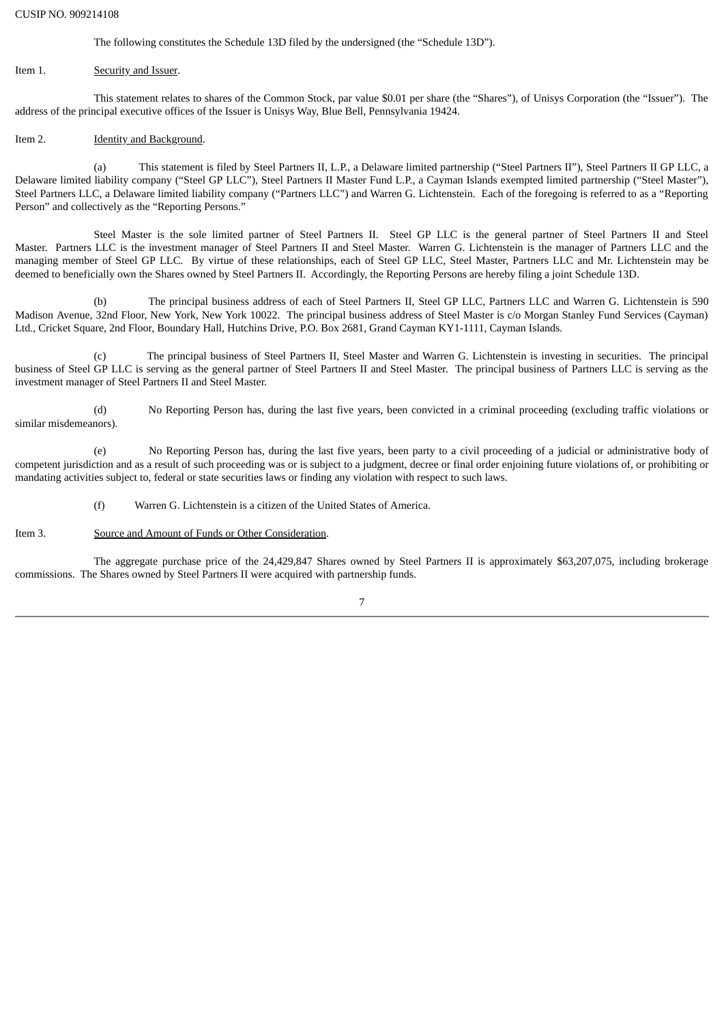#### CUSIP NO. 909214108

The following constitutes the Schedule 13D filed by the undersigned (the "Schedule 13D").

#### Item 1. Security and Issuer.

This statement relates to shares of the Common Stock, par value \$0.01 per share (the "Shares"), of Unisys Corporation (the "Issuer"). The address of the principal executive offices of the Issuer is Unisys Way, Blue Bell, Pennsylvania 19424.

#### Item 2. **Identity and Background.**

(a) This statement is filed by Steel Partners II, L.P., a Delaware limited partnership ("Steel Partners II"), Steel Partners II GP LLC, a Delaware limited liability company ("Steel GP LLC"), Steel Partners II Master Fund L.P., a Cayman Islands exempted limited partnership ("Steel Master"), Steel Partners LLC, a Delaware limited liability company ("Partners LLC") and Warren G. Lichtenstein. Each of the foregoing is referred to as a "Reporting Person" and collectively as the "Reporting Persons."

Steel Master is the sole limited partner of Steel Partners II. Steel GP LLC is the general partner of Steel Partners II and Steel Master. Partners LLC is the investment manager of Steel Partners II and Steel Master. Warren G. Lichtenstein is the manager of Partners LLC and the managing member of Steel GP LLC. By virtue of these relationships, each of Steel GP LLC, Steel Master, Partners LLC and Mr. Lichtenstein may be deemed to beneficially own the Shares owned by Steel Partners II. Accordingly, the Reporting Persons are hereby filing a joint Schedule 13D.

(b) The principal business address of each of Steel Partners II, Steel GP LLC, Partners LLC and Warren G. Lichtenstein is 590 Madison Avenue, 32nd Floor, New York, New York 10022. The principal business address of Steel Master is c/o Morgan Stanley Fund Services (Cayman) Ltd., Cricket Square, 2nd Floor, Boundary Hall, Hutchins Drive, P.O. Box 2681, Grand Cayman KY1-1111, Cayman Islands.

(c) The principal business of Steel Partners II, Steel Master and Warren G. Lichtenstein is investing in securities. The principal business of Steel GP LLC is serving as the general partner of Steel Partners II and Steel Master. The principal business of Partners LLC is serving as the investment manager of Steel Partners II and Steel Master.

(d) No Reporting Person has, during the last five years, been convicted in a criminal proceeding (excluding traffic violations or similar misdemeanors).

(e) No Reporting Person has, during the last five years, been party to a civil proceeding of a judicial or administrative body of competent jurisdiction and as a result of such proceeding was or is subject to a judgment, decree or final order enjoining future violations of, or prohibiting or mandating activities subject to, federal or state securities laws or finding any violation with respect to such laws.

(f) Warren G. Lichtenstein is a citizen of the United States of America.

Item 3. Source and Amount of Funds or Other Consideration.

The aggregate purchase price of the 24,429,847 Shares owned by Steel Partners II is approximately \$63,207,075, including brokerage commissions. The Shares owned by Steel Partners II were acquired with partnership funds.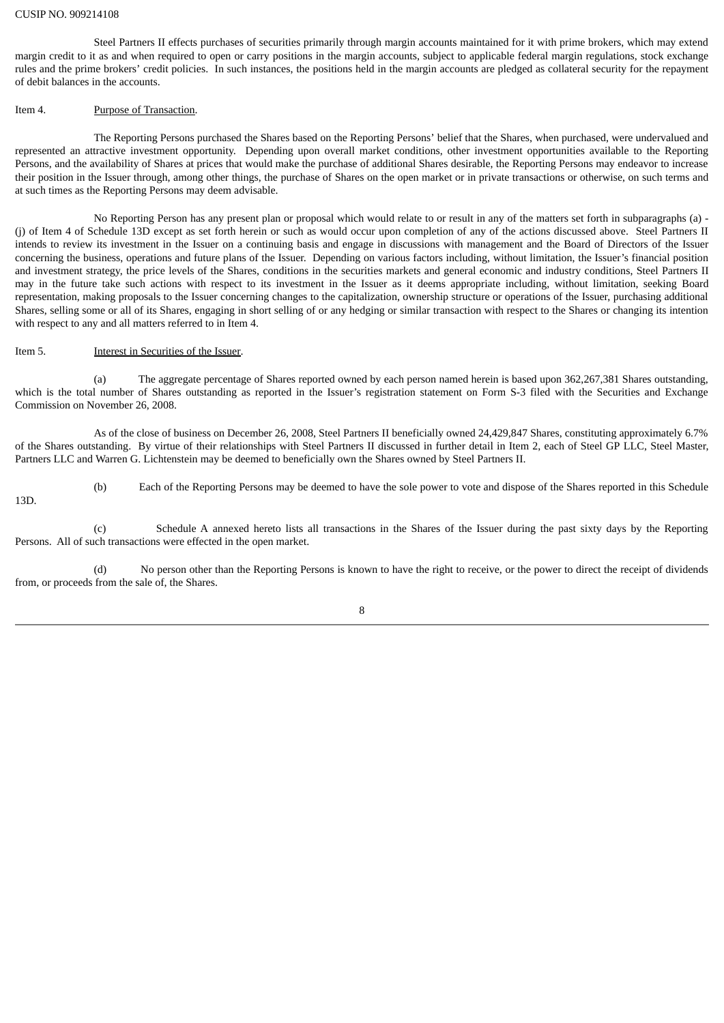#### CUSIP NO. 909214108

Steel Partners II effects purchases of securities primarily through margin accounts maintained for it with prime brokers, which may extend margin credit to it as and when required to open or carry positions in the margin accounts, subject to applicable federal margin regulations, stock exchange rules and the prime brokers' credit policies. In such instances, the positions held in the margin accounts are pledged as collateral security for the repayment of debit balances in the accounts.

#### Item 4. Purpose of Transaction.

The Reporting Persons purchased the Shares based on the Reporting Persons' belief that the Shares, when purchased, were undervalued and represented an attractive investment opportunity. Depending upon overall market conditions, other investment opportunities available to the Reporting Persons, and the availability of Shares at prices that would make the purchase of additional Shares desirable, the Reporting Persons may endeavor to increase their position in the Issuer through, among other things, the purchase of Shares on the open market or in private transactions or otherwise, on such terms and at such times as the Reporting Persons may deem advisable.

No Reporting Person has any present plan or proposal which would relate to or result in any of the matters set forth in subparagraphs (a) - (j) of Item 4 of Schedule 13D except as set forth herein or such as would occur upon completion of any of the actions discussed above. Steel Partners II intends to review its investment in the Issuer on a continuing basis and engage in discussions with management and the Board of Directors of the Issuer concerning the business, operations and future plans of the Issuer. Depending on various factors including, without limitation, the Issuer's financial position and investment strategy, the price levels of the Shares, conditions in the securities markets and general economic and industry conditions, Steel Partners II may in the future take such actions with respect to its investment in the Issuer as it deems appropriate including, without limitation, seeking Board representation, making proposals to the Issuer concerning changes to the capitalization, ownership structure or operations of the Issuer, purchasing additional Shares, selling some or all of its Shares, engaging in short selling of or any hedging or similar transaction with respect to the Shares or changing its intention with respect to any and all matters referred to in Item 4.

## Item 5. Interest in Securities of the Issuer.

(a) The aggregate percentage of Shares reported owned by each person named herein is based upon 362,267,381 Shares outstanding, which is the total number of Shares outstanding as reported in the Issuer's registration statement on Form S-3 filed with the Securities and Exchange Commission on November 26, 2008.

As of the close of business on December 26, 2008, Steel Partners II beneficially owned 24,429,847 Shares, constituting approximately 6.7% of the Shares outstanding. By virtue of their relationships with Steel Partners II discussed in further detail in Item 2, each of Steel GP LLC, Steel Master, Partners LLC and Warren G. Lichtenstein may be deemed to beneficially own the Shares owned by Steel Partners II.

(b) Each of the Reporting Persons may be deemed to have the sole power to vote and dispose of the Shares reported in this Schedule 13D.

(c) Schedule A annexed hereto lists all transactions in the Shares of the Issuer during the past sixty days by the Reporting Persons. All of such transactions were effected in the open market.

(d) No person other than the Reporting Persons is known to have the right to receive, or the power to direct the receipt of dividends from, or proceeds from the sale of, the Shares.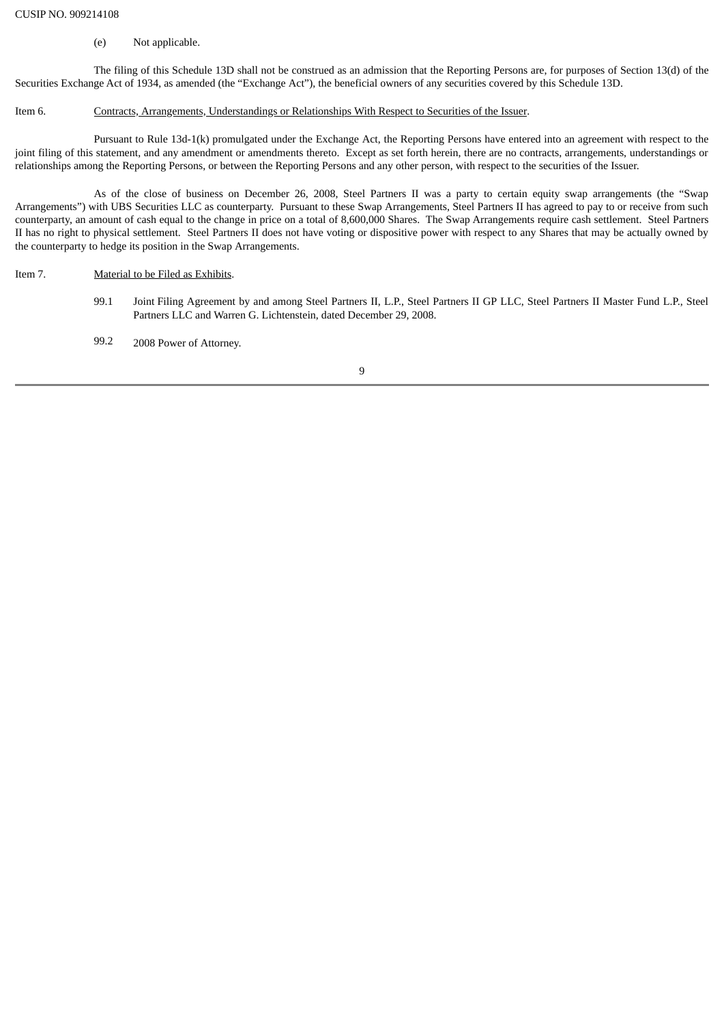## (e) Not applicable.

The filing of this Schedule 13D shall not be construed as an admission that the Reporting Persons are, for purposes of Section 13(d) of the Securities Exchange Act of 1934, as amended (the "Exchange Act"), the beneficial owners of any securities covered by this Schedule 13D.

## Item 6. Contracts, Arrangements, Understandings or Relationships With Respect to Securities of the Issuer.

Pursuant to Rule 13d-1(k) promulgated under the Exchange Act, the Reporting Persons have entered into an agreement with respect to the joint filing of this statement, and any amendment or amendments thereto. Except as set forth herein, there are no contracts, arrangements, understandings or relationships among the Reporting Persons, or between the Reporting Persons and any other person, with respect to the securities of the Issuer.

As of the close of business on December 26, 2008, Steel Partners II was a party to certain equity swap arrangements (the "Swap Arrangements") with UBS Securities LLC as counterparty. Pursuant to these Swap Arrangements, Steel Partners II has agreed to pay to or receive from such counterparty, an amount of cash equal to the change in price on a total of 8,600,000 Shares. The Swap Arrangements require cash settlement. Steel Partners II has no right to physical settlement. Steel Partners II does not have voting or dispositive power with respect to any Shares that may be actually owned by the counterparty to hedge its position in the Swap Arrangements.

## Item 7. Material to be Filed as Exhibits.

99.1 Joint Filing Agreement by and among Steel Partners II, L.P., Steel Partners II GP LLC, Steel Partners II Master Fund L.P., Steel Partners LLC and Warren G. Lichtenstein, dated December 29, 2008.

99.2 2008 Power of Attorney.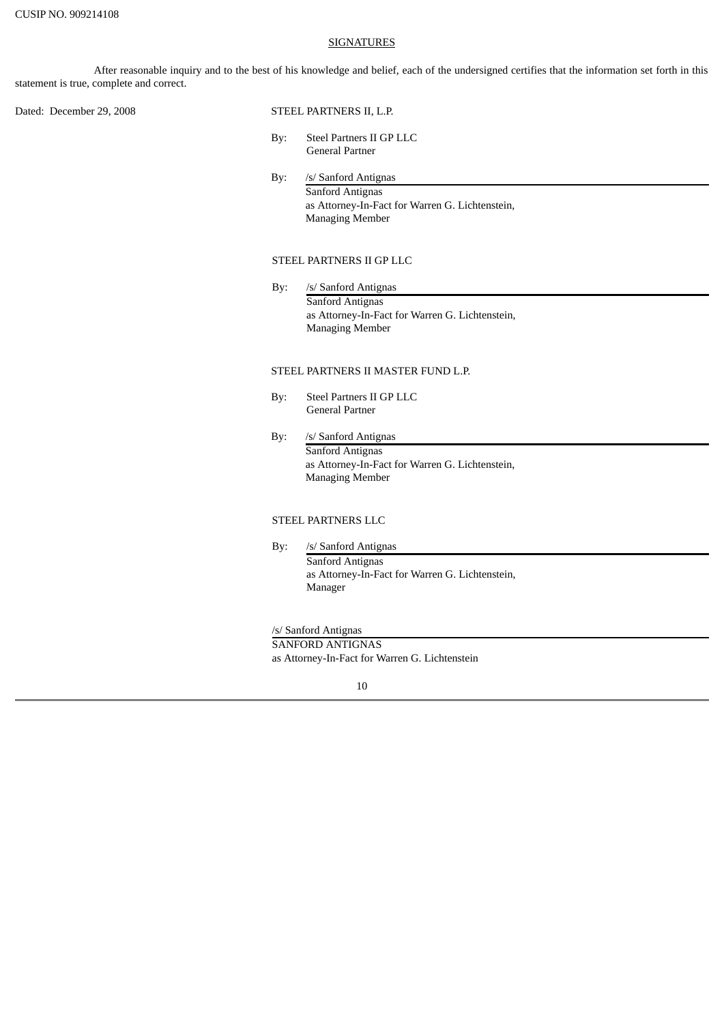#### **SIGNATURES**

After reasonable inquiry and to the best of his knowledge and belief, each of the undersigned certifies that the information set forth in this statement is true, complete and correct.

Dated: December 29, 2008 STEEL PARTNERS II, L.P.

- By: Steel Partners II GP LLC General Partner
- By: /s/ Sanford Antignas Sanford Antignas as Attorney-In-Fact for Warren G. Lichtenstein, Managing Member

## STEEL PARTNERS II GP LLC

By: /s/ Sanford Antignas Sanford Antignas as Attorney-In-Fact for Warren G. Lichtenstein, Managing Member

## STEEL PARTNERS II MASTER FUND L.P.

- By: Steel Partners II GP LLC General Partner
- By: /s/ Sanford Antignas Sanford Antignas as Attorney-In-Fact for Warren G. Lichtenstein, Managing Member

## STEEL PARTNERS LLC

By: /s/ Sanford Antignas Sanford Antignas as Attorney-In-Fact for Warren G. Lichtenstein, Manager

#### /s/ Sanford Antignas

SANFORD ANTIGNAS as Attorney-In-Fact for Warren G. Lichtenstein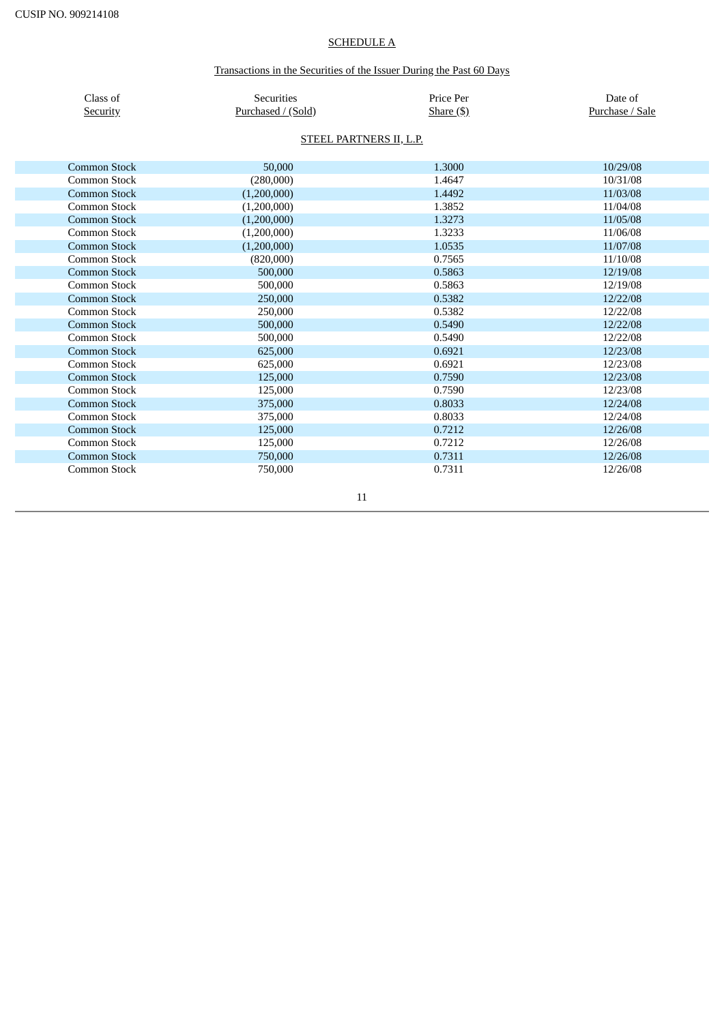# SCHEDULE A

# Transactions in the Securities of the Issuer During the Past 60 Days

| Class of<br>Security | Securities<br>Purchased / (Sold) | Price Per<br>Share $($ \$) | Date of<br>Purchase / Sale |  |  |  |
|----------------------|----------------------------------|----------------------------|----------------------------|--|--|--|
|                      | STEEL PARTNERS II, L.P.          |                            |                            |  |  |  |
| <b>Common Stock</b>  | 50,000                           | 1.3000                     | 10/29/08                   |  |  |  |
| Common Stock         | (280,000)                        | 1.4647                     | 10/31/08                   |  |  |  |
| <b>Common Stock</b>  | (1,200,000)                      | 1.4492                     | 11/03/08                   |  |  |  |
| Common Stock         | (1,200,000)                      | 1.3852                     | 11/04/08                   |  |  |  |
| <b>Common Stock</b>  | (1,200,000)                      | 1.3273                     | 11/05/08                   |  |  |  |
| Common Stock         | (1,200,000)                      | 1.3233                     | 11/06/08                   |  |  |  |
| Common Stock         | (1,200,000)                      | 1.0535                     | 11/07/08                   |  |  |  |
| Common Stock         | (820,000)                        | 0.7565                     | 11/10/08                   |  |  |  |
| <b>Common Stock</b>  | 500,000                          | 0.5863                     | 12/19/08                   |  |  |  |
| Common Stock         | 500,000                          | 0.5863                     | 12/19/08                   |  |  |  |
| <b>Common Stock</b>  | 250,000                          | 0.5382                     | 12/22/08                   |  |  |  |
| Common Stock         | 250,000                          | 0.5382                     | 12/22/08                   |  |  |  |
| <b>Common Stock</b>  | 500,000                          | 0.5490                     | 12/22/08                   |  |  |  |
| Common Stock         | 500,000                          | 0.5490                     | 12/22/08                   |  |  |  |
| <b>Common Stock</b>  | 625,000                          | 0.6921                     | 12/23/08                   |  |  |  |
| <b>Common Stock</b>  | 625,000                          | 0.6921                     | 12/23/08                   |  |  |  |
| <b>Common Stock</b>  | 125,000                          | 0.7590                     | 12/23/08                   |  |  |  |
| Common Stock         | 125,000                          | 0.7590                     | 12/23/08                   |  |  |  |
| <b>Common Stock</b>  | 375,000                          | 0.8033                     | 12/24/08                   |  |  |  |
| Common Stock         | 375,000                          | 0.8033                     | 12/24/08                   |  |  |  |
| <b>Common Stock</b>  | 125,000                          | 0.7212                     | 12/26/08                   |  |  |  |
| Common Stock         | 125,000                          | 0.7212                     | 12/26/08                   |  |  |  |
| <b>Common Stock</b>  | 750,000                          | 0.7311                     | 12/26/08                   |  |  |  |
| Common Stock         | 750,000                          | 0.7311                     | 12/26/08                   |  |  |  |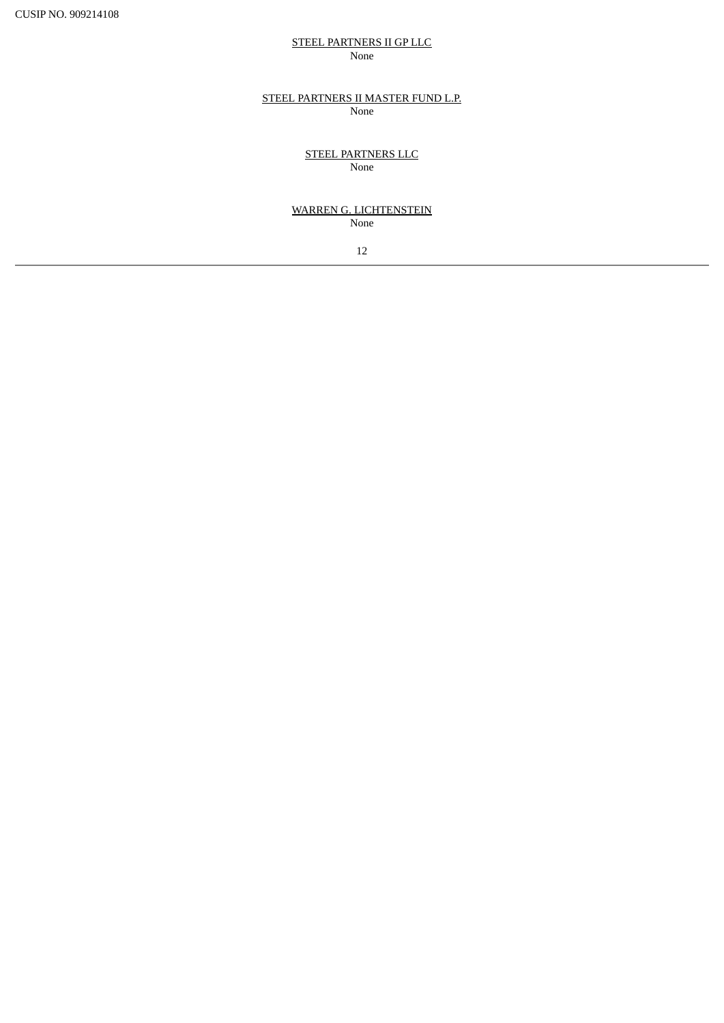# STEEL PARTNERS II GP LLC None

## STEEL PARTNERS II MASTER FUND L.P. None

STEEL PARTNERS LLC None

## WARREN G. LICHTENSTEIN None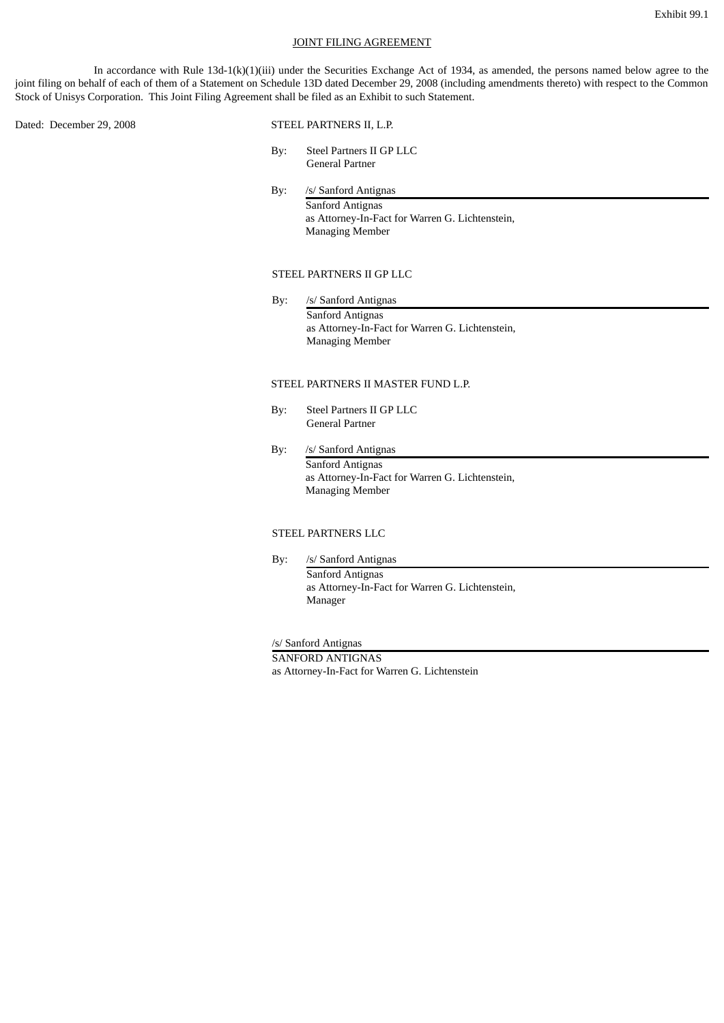#### JOINT FILING AGREEMENT

In accordance with Rule 13d-1(k)(1)(iii) under the Securities Exchange Act of 1934, as amended, the persons named below agree to the joint filing on behalf of each of them of a Statement on Schedule 13D dated December 29, 2008 (including amendments thereto) with respect to the Common Stock of Unisys Corporation. This Joint Filing Agreement shall be filed as an Exhibit to such Statement.

Dated: December 29, 2008 STEEL PARTNERS II, L.P.

- By: Steel Partners II GP LLC General Partner
- By: /s/ Sanford Antignas Sanford Antignas as Attorney-In-Fact for Warren G. Lichtenstein, Managing Member

# STEEL PARTNERS II GP LLC

By: /s/ Sanford Antignas Sanford Antignas as Attorney-In-Fact for Warren G. Lichtenstein, Managing Member

## STEEL PARTNERS II MASTER FUND L.P.

- By: Steel Partners II GP LLC General Partner
- By: /s/ Sanford Antignas Sanford Antignas as Attorney-In-Fact for Warren G. Lichtenstein, Managing Member

## STEEL PARTNERS LLC

By: /s/ Sanford Antignas Sanford Antignas as Attorney-In-Fact for Warren G. Lichtenstein, Manager

/s/ Sanford Antignas

SANFORD ANTIGNAS as Attorney-In-Fact for Warren G. Lichtenstein